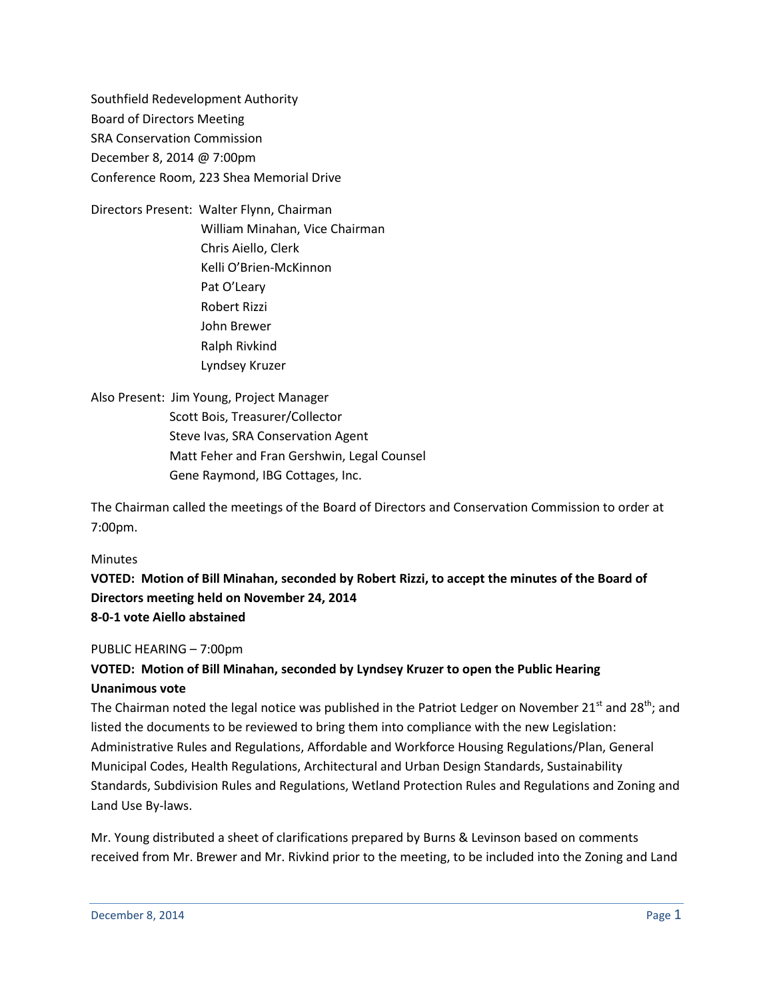Southfield Redevelopment Authority Board of Directors Meeting SRA Conservation Commission December 8, 2014 @ 7:00pm Conference Room, 223 Shea Memorial Drive

Directors Present: Walter Flynn, Chairman William Minahan, Vice Chairman Chris Aiello, Clerk Kelli O'Brien-McKinnon Pat O'Leary Robert Rizzi John Brewer Ralph Rivkind Lyndsey Kruzer

Also Present: Jim Young, Project Manager Scott Bois, Treasurer/Collector Steve Ivas, SRA Conservation Agent Matt Feher and Fran Gershwin, Legal Counsel Gene Raymond, IBG Cottages, Inc.

The Chairman called the meetings of the Board of Directors and Conservation Commission to order at 7:00pm.

#### Minutes

**VOTED: Motion of Bill Minahan, seconded by Robert Rizzi, to accept the minutes of the Board of Directors meeting held on November 24, 2014 8-0-1 vote Aiello abstained**

#### PUBLIC HEARING – 7:00pm

## **VOTED: Motion of Bill Minahan, seconded by Lyndsey Kruzer to open the Public Hearing Unanimous vote**

The Chairman noted the legal notice was published in the Patriot Ledger on November 21<sup>st</sup> and 28<sup>th</sup>; and listed the documents to be reviewed to bring them into compliance with the new Legislation: Administrative Rules and Regulations, Affordable and Workforce Housing Regulations/Plan, General Municipal Codes, Health Regulations, Architectural and Urban Design Standards, Sustainability Standards, Subdivision Rules and Regulations, Wetland Protection Rules and Regulations and Zoning and Land Use By-laws.

Mr. Young distributed a sheet of clarifications prepared by Burns & Levinson based on comments received from Mr. Brewer and Mr. Rivkind prior to the meeting, to be included into the Zoning and Land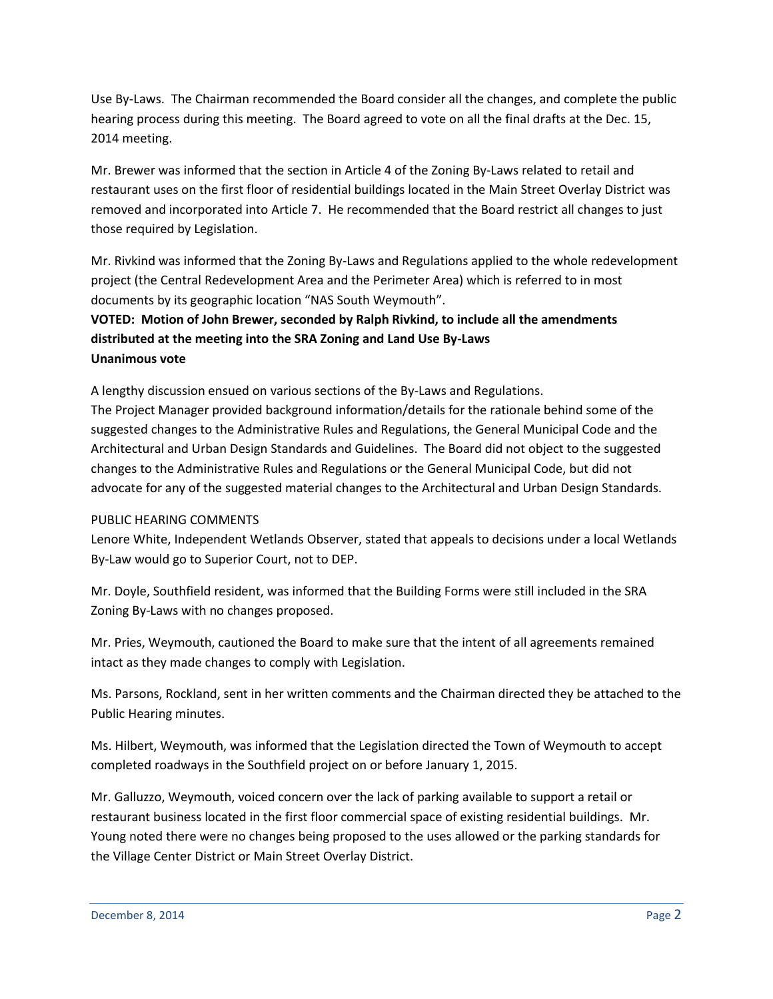Use By-Laws. The Chairman recommended the Board consider all the changes, and complete the public hearing process during this meeting. The Board agreed to vote on all the final drafts at the Dec. 15, 2014 meeting.

Mr. Brewer was informed that the section in Article 4 of the Zoning By-Laws related to retail and restaurant uses on the first floor of residential buildings located in the Main Street Overlay District was removed and incorporated into Article 7. He recommended that the Board restrict all changes to just those required by Legislation.

Mr. Rivkind was informed that the Zoning By-Laws and Regulations applied to the whole redevelopment project (the Central Redevelopment Area and the Perimeter Area) which is referred to in most documents by its geographic location "NAS South Weymouth".

# **VOTED: Motion of John Brewer, seconded by Ralph Rivkind, to include all the amendments distributed at the meeting into the SRA Zoning and Land Use By-Laws Unanimous vote**

A lengthy discussion ensued on various sections of the By-Laws and Regulations. The Project Manager provided background information/details for the rationale behind some of the suggested changes to the Administrative Rules and Regulations, the General Municipal Code and the Architectural and Urban Design Standards and Guidelines. The Board did not object to the suggested changes to the Administrative Rules and Regulations or the General Municipal Code, but did not advocate for any of the suggested material changes to the Architectural and Urban Design Standards.

## PUBLIC HEARING COMMENTS

Lenore White, Independent Wetlands Observer, stated that appeals to decisions under a local Wetlands By-Law would go to Superior Court, not to DEP.

Mr. Doyle, Southfield resident, was informed that the Building Forms were still included in the SRA Zoning By-Laws with no changes proposed.

Mr. Pries, Weymouth, cautioned the Board to make sure that the intent of all agreements remained intact as they made changes to comply with Legislation.

Ms. Parsons, Rockland, sent in her written comments and the Chairman directed they be attached to the Public Hearing minutes.

Ms. Hilbert, Weymouth, was informed that the Legislation directed the Town of Weymouth to accept completed roadways in the Southfield project on or before January 1, 2015.

Mr. Galluzzo, Weymouth, voiced concern over the lack of parking available to support a retail or restaurant business located in the first floor commercial space of existing residential buildings. Mr. Young noted there were no changes being proposed to the uses allowed or the parking standards for the Village Center District or Main Street Overlay District.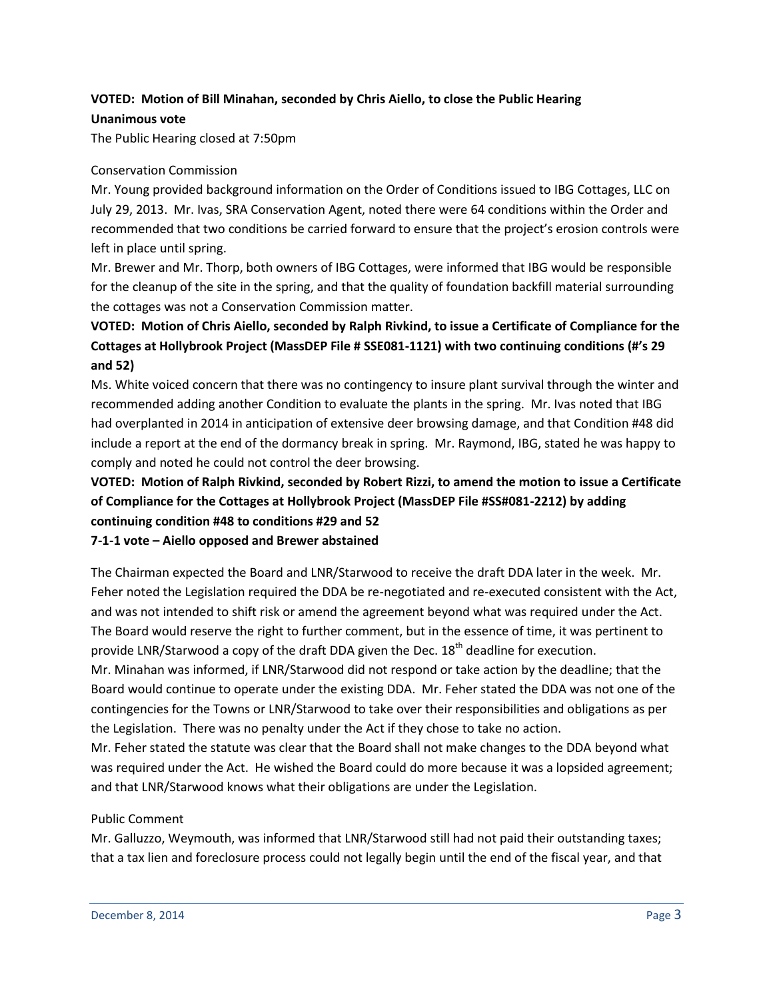### **VOTED: Motion of Bill Minahan, seconded by Chris Aiello, to close the Public Hearing Unanimous vote**

The Public Hearing closed at 7:50pm

#### Conservation Commission

Mr. Young provided background information on the Order of Conditions issued to IBG Cottages, LLC on July 29, 2013. Mr. Ivas, SRA Conservation Agent, noted there were 64 conditions within the Order and recommended that two conditions be carried forward to ensure that the project's erosion controls were left in place until spring.

Mr. Brewer and Mr. Thorp, both owners of IBG Cottages, were informed that IBG would be responsible for the cleanup of the site in the spring, and that the quality of foundation backfill material surrounding the cottages was not a Conservation Commission matter.

# **VOTED: Motion of Chris Aiello, seconded by Ralph Rivkind, to issue a Certificate of Compliance for the Cottages at Hollybrook Project (MassDEP File # SSE081-1121) with two continuing conditions (#'s 29 and 52)**

Ms. White voiced concern that there was no contingency to insure plant survival through the winter and recommended adding another Condition to evaluate the plants in the spring. Mr. Ivas noted that IBG had overplanted in 2014 in anticipation of extensive deer browsing damage, and that Condition #48 did include a report at the end of the dormancy break in spring. Mr. Raymond, IBG, stated he was happy to comply and noted he could not control the deer browsing.

# **VOTED: Motion of Ralph Rivkind, seconded by Robert Rizzi, to amend the motion to issue a Certificate of Compliance for the Cottages at Hollybrook Project (MassDEP File #SS#081-2212) by adding continuing condition #48 to conditions #29 and 52**

#### **7-1-1 vote – Aiello opposed and Brewer abstained**

The Chairman expected the Board and LNR/Starwood to receive the draft DDA later in the week. Mr. Feher noted the Legislation required the DDA be re-negotiated and re-executed consistent with the Act, and was not intended to shift risk or amend the agreement beyond what was required under the Act. The Board would reserve the right to further comment, but in the essence of time, it was pertinent to provide LNR/Starwood a copy of the draft DDA given the Dec. 18<sup>th</sup> deadline for execution.

Mr. Minahan was informed, if LNR/Starwood did not respond or take action by the deadline; that the Board would continue to operate under the existing DDA. Mr. Feher stated the DDA was not one of the contingencies for the Towns or LNR/Starwood to take over their responsibilities and obligations as per the Legislation. There was no penalty under the Act if they chose to take no action.

Mr. Feher stated the statute was clear that the Board shall not make changes to the DDA beyond what was required under the Act. He wished the Board could do more because it was a lopsided agreement; and that LNR/Starwood knows what their obligations are under the Legislation.

#### Public Comment

Mr. Galluzzo, Weymouth, was informed that LNR/Starwood still had not paid their outstanding taxes; that a tax lien and foreclosure process could not legally begin until the end of the fiscal year, and that